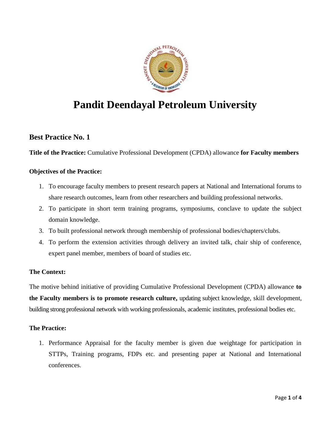

# **Pandit Deendayal Petroleum University**

# **Best Practice No. 1**

**Title of the Practice:** Cumulative Professional Development (CPDA) allowance **for Faculty members**

# **Objectives of the Practice:**

- 1. To encourage faculty members to present research papers at National and International forums to share research outcomes, learn from other researchers and building professional networks.
- 2. To participate in short term training programs, symposiums, conclave to update the subject domain knowledge.
- 3. To built professional network through membership of professional bodies/chapters/clubs.
- 4. To perform the extension activities through delivery an invited talk, chair ship of conference, expert panel member, members of board of studies etc.

# **The Context:**

The motive behind initiative of providing Cumulative Professional Development (CPDA) allowance **to the Faculty members is to promote research culture,** updating subject knowledge, skill development, building strong professional network with working professionals, academic institutes, professional bodies etc.

# **The Practice:**

1. Performance Appraisal for the faculty member is given due weightage for participation in STTPs, Training programs, FDPs etc. and presenting paper at National and International conferences.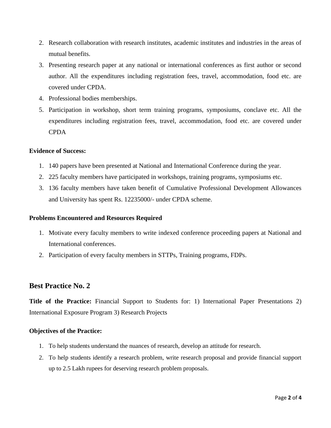- 2. Research collaboration with research institutes, academic institutes and industries in the areas of mutual benefits.
- 3. Presenting research paper at any national or international conferences as first author or second author. All the expenditures including registration fees, travel, accommodation, food etc. are covered under CPDA.
- 4. Professional bodies memberships.
- 5. Participation in workshop, short term training programs, symposiums, conclave etc. All the expenditures including registration fees, travel, accommodation, food etc. are covered under **CPDA**

### **Evidence of Success:**

- 1. 140 papers have been presented at National and International Conference during the year.
- 2. 225 faculty members have participated in workshops, training programs, symposiums etc.
- 3. 136 faculty members have taken benefit of Cumulative Professional Development Allowances and University has spent Rs. 12235000/- under CPDA scheme.

#### **Problems Encountered and Resources Required**

- 1. Motivate every faculty members to write indexed conference proceeding papers at National and International conferences.
- 2. Participation of every faculty members in STTPs, Training programs, FDPs.

# **Best Practice No. 2**

**Title of the Practice:** Financial Support to Students for: 1) International Paper Presentations 2) International Exposure Program 3) Research Projects

#### **Objectives of the Practice:**

- 1. To help students understand the nuances of research, develop an attitude for research.
- 2. To help students identify a research problem, write research proposal and provide financial support up to 2.5 Lakh rupees for deserving research problem proposals.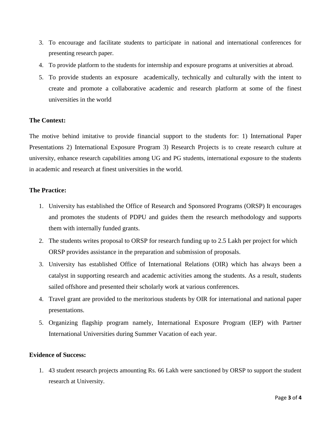- 3. To encourage and facilitate students to participate in national and international conferences for presenting research paper.
- 4. To provide platform to the students for internship and exposure programs at universities at abroad.
- 5. To provide students an exposure academically, technically and culturally with the intent to create and promote a collaborative academic and research platform at some of the finest universities in the world

#### **The Context:**

The motive behind imitative to provide financial support to the students for: 1) International Paper Presentations 2) International Exposure Program 3) Research Projects is to create research culture at university, enhance research capabilities among UG and PG students, international exposure to the students in academic and research at finest universities in the world.

## **The Practice:**

- 1. University has established the Office of Research and Sponsored Programs (ORSP) It encourages and promotes the students of PDPU and guides them the research methodology and supports them with internally funded grants.
- 2. The students writes proposal to ORSP for research funding up to 2.5 Lakh per project for which ORSP provides assistance in the preparation and submission of proposals.
- 3. University has established Office of International Relations (OIR) which has always been a catalyst in supporting research and academic activities among the students. As a result, students sailed offshore and presented their scholarly work at various conferences.
- 4. Travel grant are provided to the meritorious students by OIR for international and national paper presentations.
- 5. Organizing flagship program namely, International Exposure Program (IEP) with Partner International Universities during Summer Vacation of each year.

## **Evidence of Success:**

1. 43 student research projects amounting Rs. 66 Lakh were sanctioned by ORSP to support the student research at University.